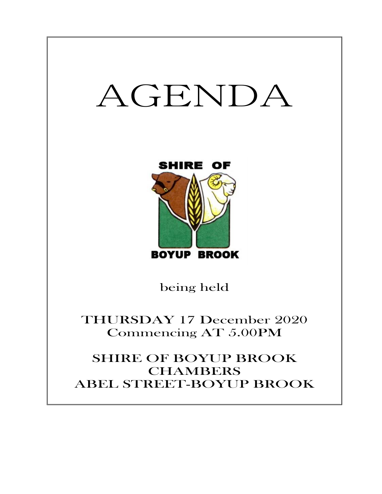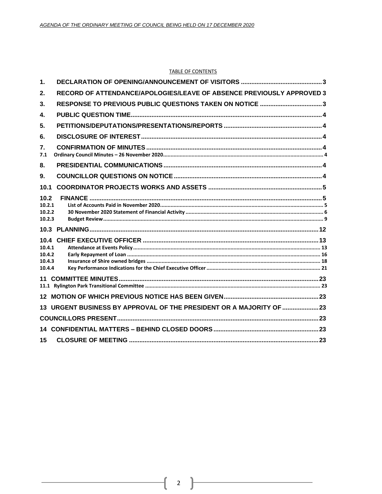#### **TABLE OF CONTENTS**

| 1.                                           |                                                                       |  |
|----------------------------------------------|-----------------------------------------------------------------------|--|
| 2.                                           | RECORD OF ATTENDANCE/APOLOGIES/LEAVE OF ABSENCE PREVIOUSLY APPROVED 3 |  |
| 3.                                           | RESPONSE TO PREVIOUS PUBLIC QUESTIONS TAKEN ON NOTICE 3               |  |
| 4.                                           |                                                                       |  |
| 5.                                           |                                                                       |  |
| 6.                                           |                                                                       |  |
| $\overline{7}$ .<br>7.1                      |                                                                       |  |
| 8.                                           |                                                                       |  |
| 9.                                           |                                                                       |  |
| 10.1                                         |                                                                       |  |
| 10.2<br>10.2.1<br>10.2.2<br>10.2.3           |                                                                       |  |
|                                              |                                                                       |  |
| 10.4<br>10.4.1<br>10.4.2<br>10.4.3<br>10.4.4 |                                                                       |  |
| 11                                           |                                                                       |  |
|                                              |                                                                       |  |
| 13                                           | URGENT BUSINESS BY APPROVAL OF THE PRESIDENT OR A MAJORITY OF  23     |  |
|                                              |                                                                       |  |
|                                              |                                                                       |  |
| 15                                           |                                                                       |  |

ſ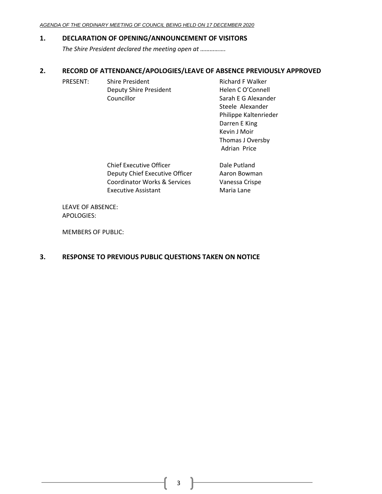# <span id="page-2-0"></span>**1. DECLARATION OF OPENING/ANNOUNCEMENT OF VISITORS**

*The Shire President declared the meeting open at …………….*

# <span id="page-2-1"></span>**2. RECORD OF ATTENDANCE/APOLOGIES/LEAVE OF ABSENCE PREVIOUSLY APPROVED**

PRESENT: Shire President Richard F Walker Deputy Shire President Helen C O'Connell Councillor **Sarah E G Alexander** 

Steele Alexander Philippe Kaltenrieder Darren E King Kevin J Moir Thomas J Oversby Adrian Price

| <b>Chief Executive Officer</b>          | Dale Putland   |
|-----------------------------------------|----------------|
| Deputy Chief Executive Officer          | Aaron Bowman   |
| <b>Coordinator Works &amp; Services</b> | Vanessa Crispe |
| <b>Executive Assistant</b>              | Maria Lane     |
|                                         |                |

LEAVE OF ABSENCE: APOLOGIES:

MEMBERS OF PUBLIC:

# <span id="page-2-2"></span>**3. RESPONSE TO PREVIOUS PUBLIC QUESTIONS TAKEN ON NOTICE**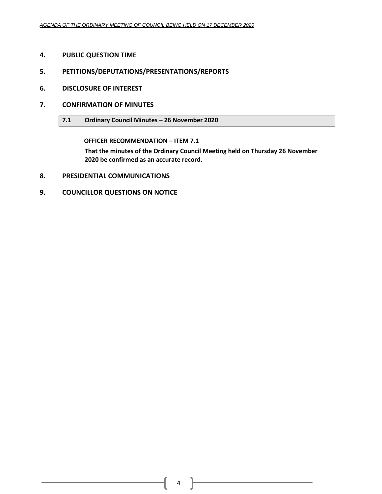- <span id="page-3-0"></span>**4. PUBLIC QUESTION TIME**
- <span id="page-3-1"></span>**5. PETITIONS/DEPUTATIONS/PRESENTATIONS/REPORTS**
- <span id="page-3-2"></span>**6. DISCLOSURE OF INTEREST**
- <span id="page-3-4"></span><span id="page-3-3"></span>**7. CONFIRMATION OF MINUTES**
	- **7.1 Ordinary Council Minutes – 26 November 2020**

**OFFICER RECOMMENDATION – ITEM 7.1**

**That the minutes of the Ordinary Council Meeting held on Thursday 26 November 2020 be confirmed as an accurate record.**

- <span id="page-3-5"></span>**8. PRESIDENTIAL COMMUNICATIONS**
- <span id="page-3-6"></span>**9. COUNCILLOR QUESTIONS ON NOTICE**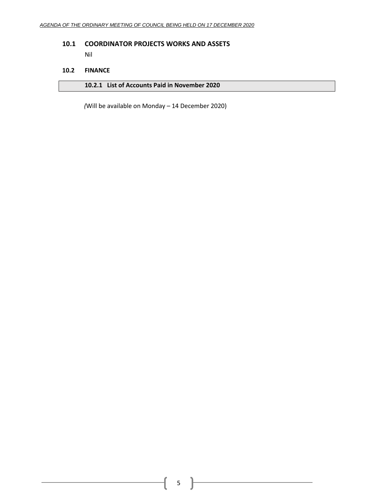# <span id="page-4-0"></span>**10.1 COORDINATOR PROJECTS WORKS AND ASSETS**

Nil

# <span id="page-4-1"></span>**10.2 FINANCE**

<span id="page-4-2"></span>

|  | 10.2.1 List of Accounts Paid in November 2020 |
|--|-----------------------------------------------|
|--|-----------------------------------------------|

*(*Will be available on Monday – 14 December 2020)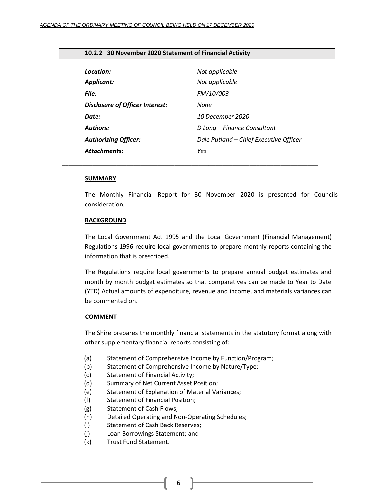#### <span id="page-5-0"></span>**10.2.2 30 November 2020 Statement of Financial Activity**

| Location:                              | Not applicable                         |
|----------------------------------------|----------------------------------------|
| <b>Applicant:</b>                      | Not applicable                         |
| File:                                  | <b>FM/10/003</b>                       |
| <b>Disclosure of Officer Interest:</b> | None                                   |
| Date:                                  | 10 December 2020                       |
| <b>Authors:</b>                        | D Long – Finance Consultant            |
| <b>Authorizing Officer:</b>            | Dale Putland - Chief Executive Officer |
| <b>Attachments:</b>                    | Yes                                    |

*\_\_\_\_\_\_\_\_\_\_\_\_\_\_\_\_\_\_\_\_\_\_\_\_\_\_\_\_\_\_\_\_\_\_\_\_\_\_\_\_\_\_\_\_\_\_\_\_\_\_\_\_\_\_\_\_\_\_\_\_\_\_\_\_\_\_\_\_\_\_\_\_\_\_\_*

#### **SUMMARY**

The Monthly Financial Report for 30 November 2020 is presented for Councils consideration.

#### **BACKGROUND**

The Local Government Act 1995 and the Local Government (Financial Management) Regulations 1996 require local governments to prepare monthly reports containing the information that is prescribed.

The Regulations require local governments to prepare annual budget estimates and month by month budget estimates so that comparatives can be made to Year to Date (YTD) Actual amounts of expenditure, revenue and income, and materials variances can be commented on.

#### **COMMENT**

The Shire prepares the monthly financial statements in the statutory format along with other supplementary financial reports consisting of:

- (a) Statement of Comprehensive Income by Function/Program;
- (b) Statement of Comprehensive Income by Nature/Type;
- (c) Statement of Financial Activity;
- (d) Summary of Net Current Asset Position;
- (e) Statement of Explanation of Material Variances;
- (f) Statement of Financial Position;
- (g) Statement of Cash Flows;
- (h) Detailed Operating and Non-Operating Schedules;
- (i) Statement of Cash Back Reserves;
- (j) Loan Borrowings Statement; and
- (k) Trust Fund Statement.

6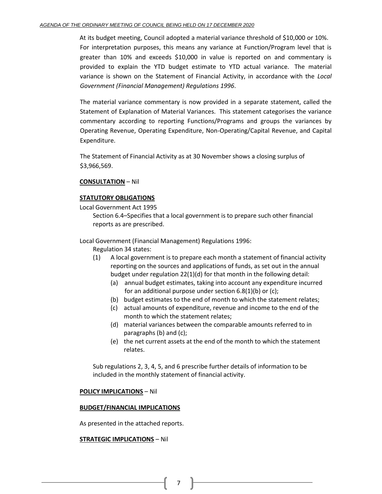At its budget meeting, Council adopted a material variance threshold of \$10,000 or 10%. For interpretation purposes, this means any variance at Function/Program level that is greater than 10% and exceeds \$10,000 in value is reported on and commentary is provided to explain the YTD budget estimate to YTD actual variance. The material variance is shown on the Statement of Financial Activity, in accordance with the *Local Government (Financial Management) Regulations 1996*.

The material variance commentary is now provided in a separate statement, called the Statement of Explanation of Material Variances. This statement categorises the variance commentary according to reporting Functions/Programs and groups the variances by Operating Revenue, Operating Expenditure, Non-Operating/Capital Revenue, and Capital Expenditure.

The Statement of Financial Activity as at 30 November shows a closing surplus of \$3,966,569.

# **CONSULTATION** – Nil

# **STATUTORY OBLIGATIONS**

Local Government Act 1995

Section 6.4–Specifies that a local government is to prepare such other financial reports as are prescribed.

Local Government (Financial Management) Regulations 1996:

Regulation 34 states:

- (1) A local government is to prepare each month a statement of financial activity reporting on the sources and applications of funds, as set out in the annual budget under regulation 22(1)(d) for that month in the following detail:
	- (a) annual budget estimates, taking into account any expenditure incurred for an additional purpose under section 6.8(1)(b) or (c);
	- (b) budget estimates to the end of month to which the statement relates;
	- (c) actual amounts of expenditure, revenue and income to the end of the month to which the statement relates;
	- (d) material variances between the comparable amounts referred to in paragraphs (b) and (c);
	- (e) the net current assets at the end of the month to which the statement relates.

Sub regulations 2, 3, 4, 5, and 6 prescribe further details of information to be included in the monthly statement of financial activity.

### **POLICY IMPLICATIONS** – Nil

### **BUDGET/FINANCIAL IMPLICATIONS**

As presented in the attached reports.

### **STRATEGIC IMPLICATIONS** – Nil

7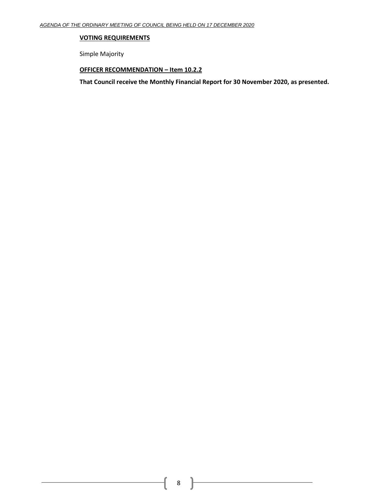## **VOTING REQUIREMENTS**

Simple Majority

# **OFFICER RECOMMENDATION – Item 10.2.2**

**That Council receive the Monthly Financial Report for 30 November 2020, as presented.**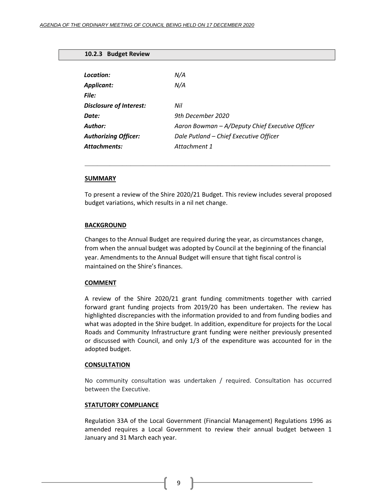#### <span id="page-8-0"></span>**10.2.3 Budget Review**

| Location:                      | N/A                                             |
|--------------------------------|-------------------------------------------------|
| Applicant:                     | N/A                                             |
| File:                          |                                                 |
| <b>Disclosure of Interest:</b> | Nil                                             |
| Date:                          | 9th December 2020                               |
| <b>Author:</b>                 | Aaron Bowman - A/Deputy Chief Executive Officer |
| <b>Authorizing Officer:</b>    | Dale Putland - Chief Executive Officer          |
| <b>Attachments:</b>            | Attachment 1                                    |
|                                |                                                 |

#### **SUMMARY**

To present a review of the Shire 2020/21 Budget. This review includes several proposed budget variations, which results in a nil net change.

**\_\_\_\_\_\_\_\_\_\_\_\_\_\_\_\_\_\_\_\_\_\_\_\_\_\_\_\_\_\_\_\_\_\_\_\_\_\_\_\_\_\_\_\_\_\_\_\_\_\_\_\_\_\_\_\_\_\_\_**

#### **BACKGROUND**

Changes to the Annual Budget are required during the year, as circumstances change, from when the annual budget was adopted by Council at the beginning of the financial year. Amendments to the Annual Budget will ensure that tight fiscal control is maintained on the Shire's finances.

#### **COMMENT**

A review of the Shire 2020/21 grant funding commitments together with carried forward grant funding projects from 2019/20 has been undertaken. The review has highlighted discrepancies with the information provided to and from funding bodies and what was adopted in the Shire budget. In addition, expenditure for projects for the Local Roads and Community Infrastructure grant funding were neither previously presented or discussed with Council, and only 1/3 of the expenditure was accounted for in the adopted budget.

#### **CONSULTATION**

No community consultation was undertaken / required. Consultation has occurred between the Executive.

### **STATUTORY COMPLIANCE**

Regulation 33A of the Local Government (Financial Management) Regulations 1996 as amended requires a Local Government to review their annual budget between 1 January and 31 March each year.

9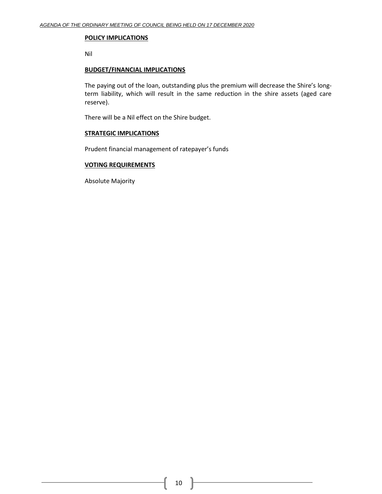### **POLICY IMPLICATIONS**

Nil

## **BUDGET/FINANCIAL IMPLICATIONS**

The paying out of the loan, outstanding plus the premium will decrease the Shire's longterm liability, which will result in the same reduction in the shire assets (aged care reserve).

There will be a Nil effect on the Shire budget.

### **STRATEGIC IMPLICATIONS**

Prudent financial management of ratepayer's funds

### **VOTING REQUIREMENTS**

Absolute Majority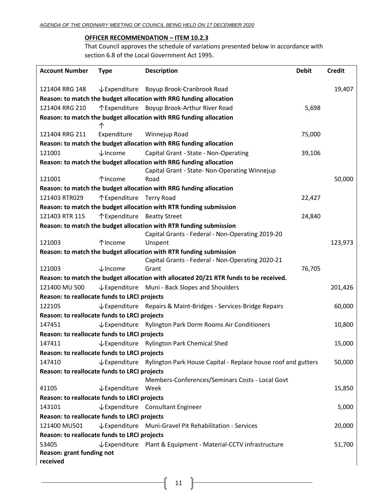# **OFFICER RECOMMENDATION – ITEM 10.2.3**

That Council approves the schedule of variations presented below in accordance with section 6.8 of the Local Government Act 1995.

| <b>Account Number</b>                                                             | <b>Type</b>                 | <b>Description</b>                                                                    | <b>Debit</b> | <b>Credit</b> |  |
|-----------------------------------------------------------------------------------|-----------------------------|---------------------------------------------------------------------------------------|--------------|---------------|--|
| 121404 RRG 148                                                                    |                             | ↓ Expenditure Boyup Brook-Cranbrook Road                                              |              | 19,407        |  |
|                                                                                   |                             | Reason: to match the budget allocation with RRG funding allocation                    |              |               |  |
| 121404 RRG 210                                                                    |                             | ↑ Expenditure Boyup Brook-Arthur River Road                                           | 5,698        |               |  |
|                                                                                   |                             | Reason: to match the budget allocation with RRG funding allocation                    |              |               |  |
|                                                                                   | 个                           |                                                                                       |              |               |  |
| 121404 RRG 211                                                                    | Expenditure                 | Winnejup Road                                                                         | 75,000       |               |  |
|                                                                                   |                             | Reason: to match the budget allocation with RRG funding allocation                    |              |               |  |
| 121001                                                                            | $\downarrow$ Income         | Capital Grant - State - Non-Operating                                                 | 39,106       |               |  |
|                                                                                   |                             | Reason: to match the budget allocation with RRG funding allocation                    |              |               |  |
|                                                                                   |                             | Capital Grant - State- Non-Operating Winnejup                                         |              |               |  |
| 121001                                                                            | 个Income                     | Road                                                                                  |              | 50,000        |  |
|                                                                                   |                             | Reason: to match the budget allocation with RRG funding allocation                    |              |               |  |
| 121403 RTR029                                                                     | ↑ Expenditure Terry Road    |                                                                                       | 22,427       |               |  |
|                                                                                   |                             | Reason: to match the budget allocation with RTR funding submission                    |              |               |  |
| 121403 RTR 115                                                                    | ↑ Expenditure Beatty Street |                                                                                       | 24,840       |               |  |
|                                                                                   |                             | Reason: to match the budget allocation with RTR funding submission                    |              |               |  |
|                                                                                   |                             | Capital Grants - Federal - Non-Operating 2019-20                                      |              |               |  |
| 121003                                                                            | 个Income                     | Unspent                                                                               |              | 123,973       |  |
|                                                                                   |                             | Reason: to match the budget allocation with RTR funding submission                    |              |               |  |
|                                                                                   |                             | Capital Grants - Federal - Non-Operating 2020-21                                      |              |               |  |
| 121003                                                                            | $\downarrow$ Income         | Grant                                                                                 | 76,705       |               |  |
|                                                                                   |                             | Reason: to match the budget allocation with allocated 20/21 RTR funds to be received. |              |               |  |
| 121400 MU 500                                                                     |                             | $\sqrt{\frac{1}{2}}$ Expenditure Muni - Back Slopes and Shoulders                     |              | 201,426       |  |
| Reason: to reallocate funds to LRCI projects                                      |                             |                                                                                       |              |               |  |
| 122105                                                                            |                             | ↓ Expenditure Repairs & Maint-Bridges - Services-Bridge Repairs                       |              | 60,000        |  |
| Reason: to reallocate funds to LRCI projects                                      |                             |                                                                                       |              |               |  |
| 147451                                                                            |                             | ↓ Expenditure Rylington Park Dorm Rooms Air Conditioners                              |              | 10,800        |  |
| Reason: to reallocate funds to LRCI projects                                      |                             |                                                                                       |              |               |  |
| 147411                                                                            |                             | $\downarrow$ Expenditure Rylington Park Chemical Shed                                 |              | 15,000        |  |
| Reason: to reallocate funds to LRCI projects                                      |                             |                                                                                       |              |               |  |
| 147410                                                                            |                             | ↓ Expenditure Rylington Park House Capital - Replace house roof and gutters           |              | 50,000        |  |
| Reason: to reallocate funds to LRCI projects                                      |                             |                                                                                       |              |               |  |
|                                                                                   |                             | Members-Conferences/Seminars Costs - Local Govt                                       |              |               |  |
| 41105                                                                             | ↓Expenditure Week           |                                                                                       |              | 15,850        |  |
| Reason: to reallocate funds to LRCI projects                                      |                             |                                                                                       |              |               |  |
| 143101                                                                            |                             | ↓Expenditure Consultant Engineer                                                      |              | 5,000         |  |
| Reason: to reallocate funds to LRCI projects                                      |                             |                                                                                       |              |               |  |
| 121400 MU501                                                                      |                             | ↓ Expenditure Muni-Gravel Pit Rehabilitation - Services                               |              | 20,000        |  |
| Reason: to reallocate funds to LRCI projects                                      |                             |                                                                                       |              |               |  |
| 53405<br>↓ Expenditure Plant & Equipment - Material-CCTV infrastructure<br>51,700 |                             |                                                                                       |              |               |  |
| Reason: grant funding not<br>received                                             |                             |                                                                                       |              |               |  |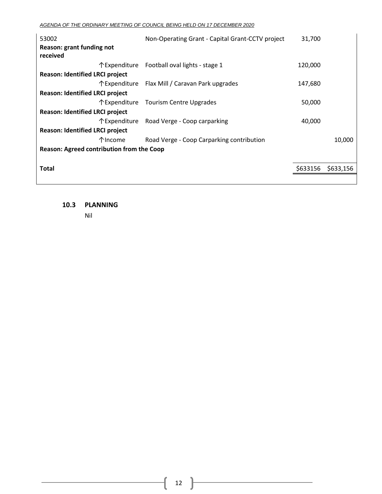*AGENDA OF THE ORDINARY MEETING OF COUNCIL BEING HELD ON 17 DECEMBER 2020*

| 53002<br>Reason: grant funding not<br>received   |          | Non-Operating Grant - Capital Grant-CCTV project | 31,700   |           |
|--------------------------------------------------|----------|--------------------------------------------------|----------|-----------|
|                                                  |          | ↑ Expenditure Football oval lights - stage 1     | 120,000  |           |
| Reason: Identified LRCI project                  |          |                                                  |          |           |
|                                                  |          | ↑ Expenditure Flax Mill / Caravan Park upgrades  | 147,680  |           |
| Reason: Identified LRCI project                  |          |                                                  |          |           |
|                                                  |          | ↑ Expenditure Tourism Centre Upgrades            | 50,000   |           |
| Reason: Identified LRCI project                  |          |                                                  |          |           |
|                                                  |          | ↑ Expenditure Road Verge - Coop carparking       | 40,000   |           |
| <b>Reason: Identified LRCI project</b>           |          |                                                  |          |           |
|                                                  | 个 Income | Road Verge - Coop Carparking contribution        |          | 10,000    |
| <b>Reason: Agreed contribution from the Coop</b> |          |                                                  |          |           |
|                                                  |          |                                                  |          |           |
| <b>Total</b>                                     |          |                                                  | \$633156 | \$633,156 |
|                                                  |          |                                                  |          |           |

<span id="page-11-0"></span>**10.3 PLANNING**

Nil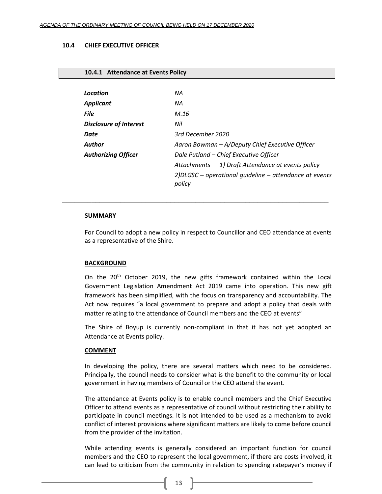#### <span id="page-12-0"></span>**10.4 CHIEF EXECUTIVE OFFICER**

#### <span id="page-12-1"></span>**10.4.1 Attendance at Events Policy**

| Location                      | ΝA                                                                  |  |  |  |
|-------------------------------|---------------------------------------------------------------------|--|--|--|
| <b>Applicant</b>              | ΝA                                                                  |  |  |  |
| <b>File</b>                   | M.16                                                                |  |  |  |
| <b>Disclosure of Interest</b> | Nil                                                                 |  |  |  |
| Date                          | 3rd December 2020                                                   |  |  |  |
| Author                        | Aaron Bowman - A/Deputy Chief Executive Officer                     |  |  |  |
| <b>Authorizing Officer</b>    | Dale Putland - Chief Executive Officer                              |  |  |  |
|                               | 1) Draft Attendance at events policy<br>Attachments                 |  |  |  |
|                               | $2$ )DLGSC – operational quideline – attendance at events<br>policy |  |  |  |

#### **SUMMARY**

For Council to adopt a new policy in respect to Councillor and CEO attendance at events as a representative of the Shire.

**\_\_\_\_\_\_\_\_\_\_\_\_\_\_\_\_\_\_\_\_\_\_\_\_\_\_\_\_\_\_\_\_\_\_\_\_\_\_\_\_\_\_\_\_\_\_\_\_\_\_\_\_\_\_\_\_\_\_\_\_\_\_\_\_**

### **BACKGROUND**

On the 20<sup>th</sup> October 2019, the new gifts framework contained within the Local Government Legislation Amendment Act 2019 came into operation. This new gift framework has been simplified, with the focus on transparency and accountability. The Act now requires "a local government to prepare and adopt a policy that deals with matter relating to the attendance of Council members and the CEO at events"

The Shire of Boyup is currently non-compliant in that it has not yet adopted an Attendance at Events policy.

#### **COMMENT**

In developing the policy, there are several matters which need to be considered. Principally, the council needs to consider what is the benefit to the community or local government in having members of Council or the CEO attend the event.

The attendance at Events policy is to enable council members and the Chief Executive Officer to attend events as a representative of council without restricting their ability to participate in council meetings. It is not intended to be used as a mechanism to avoid conflict of interest provisions where significant matters are likely to come before council from the provider of the invitation.

While attending events is generally considered an important function for council members and the CEO to represent the local government, if there are costs involved, it can lead to criticism from the community in relation to spending ratepayer's money if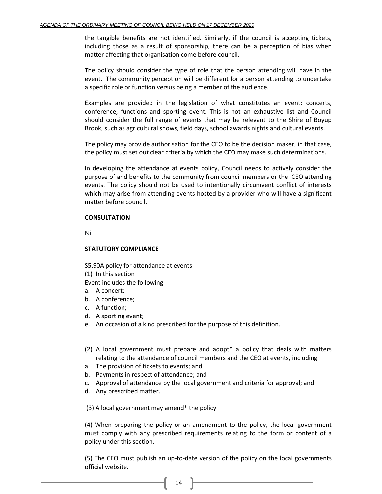the tangible benefits are not identified. Similarly, if the council is accepting tickets, including those as a result of sponsorship, there can be a perception of bias when matter affecting that organisation come before council.

The policy should consider the type of role that the person attending will have in the event. The community perception will be different for a person attending to undertake a specific role or function versus being a member of the audience.

Examples are provided in the legislation of what constitutes an event: concerts, conference, functions and sporting event. This is not an exhaustive list and Council should consider the full range of events that may be relevant to the Shire of Boyup Brook, such as agricultural shows, field days, school awards nights and cultural events.

The policy may provide authorisation for the CEO to be the decision maker, in that case, the policy must set out clear criteria by which the CEO may make such determinations.

In developing the attendance at events policy, Council needs to actively consider the purpose of and benefits to the community from council members or the CEO attending events. The policy should not be used to intentionally circumvent conflict of interests which may arise from attending events hosted by a provider who will have a significant matter before council.

# **CONSULTATION**

Nil

# **STATUTORY COMPLIANCE**

S5.90A policy for attendance at events

 $(1)$  In this section –

Event includes the following

- a. A concert;
- b. A conference;
- c. A function;
- d. A sporting event;
- e. An occasion of a kind prescribed for the purpose of this definition.
- (2) A local government must prepare and adopt\* a policy that deals with matters relating to the attendance of council members and the CEO at events, including –
- a. The provision of tickets to events; and
- b. Payments in respect of attendance; and
- c. Approval of attendance by the local government and criteria for approval; and
- d. Any prescribed matter.

(3) A local government may amend\* the policy

(4) When preparing the policy or an amendment to the policy, the local government must comply with any prescribed requirements relating to the form or content of a policy under this section.

(5) The CEO must publish an up-to-date version of the policy on the local governments official website.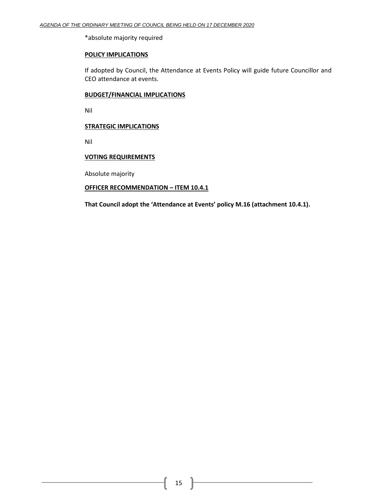\*absolute majority required

# **POLICY IMPLICATIONS**

If adopted by Council, the Attendance at Events Policy will guide future Councillor and CEO attendance at events.

#### **BUDGET/FINANCIAL IMPLICATIONS**

Nil

## **STRATEGIC IMPLICATIONS**

Nil

# **VOTING REQUIREMENTS**

Absolute majority

### **OFFICER RECOMMENDATION – ITEM 10.4.1**

**That Council adopt the 'Attendance at Events' policy M.16 (attachment 10.4.1).**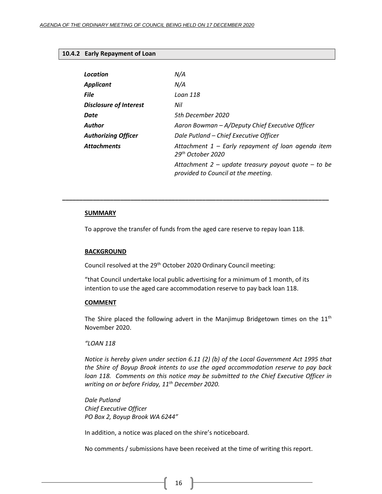## <span id="page-15-0"></span>**10.4.2 Early Repayment of Loan**

| Location                      | N/A                                                                                          |
|-------------------------------|----------------------------------------------------------------------------------------------|
| Applicant                     | N/A                                                                                          |
| File                          | Loan 118                                                                                     |
| <b>Disclosure of Interest</b> | Nil                                                                                          |
| Date                          | 5th December 2020                                                                            |
| Author                        | Aaron Bowman - A/Deputy Chief Executive Officer                                              |
| <b>Authorizing Officer</b>    | Dale Putland - Chief Executive Officer                                                       |
| Attachments                   | Attachment $1$ – Early repayment of loan agenda item<br>29 <sup>th</sup> October 2020        |
|                               | Attachment $2$ – update treasury payout quote – to be<br>provided to Council at the meeting. |
|                               |                                                                                              |

#### **SUMMARY**

To approve the transfer of funds from the aged care reserve to repay loan 118.

**\_\_\_\_\_\_\_\_\_\_\_\_\_\_\_\_\_\_\_\_\_\_\_\_\_\_\_\_\_\_\_\_\_\_\_\_\_\_\_\_\_\_\_\_\_\_\_\_\_\_\_\_\_\_\_\_\_\_\_\_\_\_\_\_\_\_\_\_\_\_\_\_\_\_\_\_\_\_**

### **BACKGROUND**

Council resolved at the 29<sup>th</sup> October 2020 Ordinary Council meeting:

"that Council undertake local public advertising for a minimum of 1 month, of its intention to use the aged care accommodation reserve to pay back loan 118.

#### **COMMENT**

The Shire placed the following advert in the Manjimup Bridgetown times on the  $11<sup>th</sup>$ November 2020.

# *"LOAN 118*

*Notice is hereby given under section 6.11 (2) (b) of the Local Government Act 1995 that the Shire of Boyup Brook intents to use the aged accommodation reserve to pay back loan 118. Comments on this notice may be submitted to the Chief Executive Officer in writing on or before Friday, 11th December 2020.*

*Dale Putland Chief Executive Officer PO Box 2, Boyup Brook WA 6244"*

In addition, a notice was placed on the shire's noticeboard.

No comments / submissions have been received at the time of writing this report.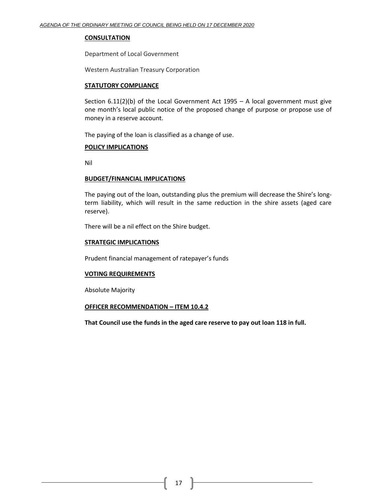#### **CONSULTATION**

Department of Local Government

Western Australian Treasury Corporation

### **STATUTORY COMPLIANCE**

Section  $6.11(2)(b)$  of the Local Government Act 1995 – A local government must give one month's local public notice of the proposed change of purpose or propose use of money in a reserve account.

The paying of the loan is classified as a change of use.

#### **POLICY IMPLICATIONS**

Nil

#### **BUDGET/FINANCIAL IMPLICATIONS**

The paying out of the loan, outstanding plus the premium will decrease the Shire's longterm liability, which will result in the same reduction in the shire assets (aged care reserve).

There will be a nil effect on the Shire budget.

#### **STRATEGIC IMPLICATIONS**

Prudent financial management of ratepayer's funds

### **VOTING REQUIREMENTS**

Absolute Majority

### **OFFICER RECOMMENDATION – ITEM 10.4.2**

**That Council use the funds in the aged care reserve to pay out loan 118 in full.**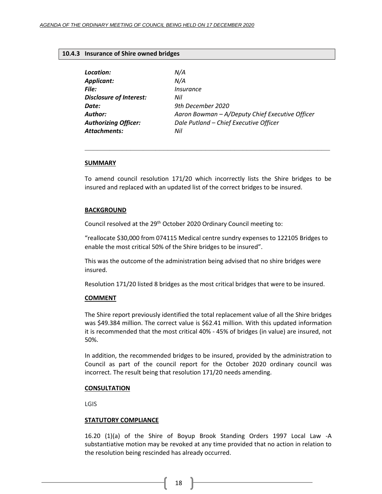#### <span id="page-17-0"></span>**10.4.3 Insurance of Shire owned bridges**

| Location:                      | N/A                                             |
|--------------------------------|-------------------------------------------------|
| <b>Applicant:</b>              | N/A                                             |
| File:                          | Insurance                                       |
| <b>Disclosure of Interest:</b> | Nil                                             |
| Date:                          | 9th December 2020                               |
| <b>Author:</b>                 | Aaron Bowman - A/Deputy Chief Executive Officer |
| <b>Authorizing Officer:</b>    | Dale Putland - Chief Executive Officer          |
| <b>Attachments:</b>            | Nil                                             |

#### **SUMMARY**

To amend council resolution 171/20 which incorrectly lists the Shire bridges to be insured and replaced with an updated list of the correct bridges to be insured.

**\_\_\_\_\_\_\_\_\_\_\_\_\_\_\_\_\_\_\_\_\_\_\_\_\_\_\_\_\_\_\_\_\_\_\_\_\_\_\_\_\_\_\_\_\_\_\_\_\_\_\_\_\_\_\_\_\_\_\_**

#### **BACKGROUND**

Council resolved at the 29<sup>th</sup> October 2020 Ordinary Council meeting to:

"reallocate \$30,000 from 074115 Medical centre sundry expenses to 122105 Bridges to enable the most critical 50% of the Shire bridges to be insured".

This was the outcome of the administration being advised that no shire bridges were insured.

Resolution 171/20 listed 8 bridges as the most critical bridges that were to be insured.

#### **COMMENT**

The Shire report previously identified the total replacement value of all the Shire bridges was \$49.384 million. The correct value is \$62.41 million. With this updated information it is recommended that the most critical 40% - 45% of bridges (in value) are insured, not 50%.

In addition, the recommended bridges to be insured, provided by the administration to Council as part of the council report for the October 2020 ordinary council was incorrect. The result being that resolution 171/20 needs amending.

#### **CONSULTATION**

LGIS

#### **STATUTORY COMPLIANCE**

16.20 (1)(a) of the Shire of Boyup Brook Standing Orders 1997 Local Law -A substantiative motion may be revoked at any time provided that no action in relation to the resolution being rescinded has already occurred.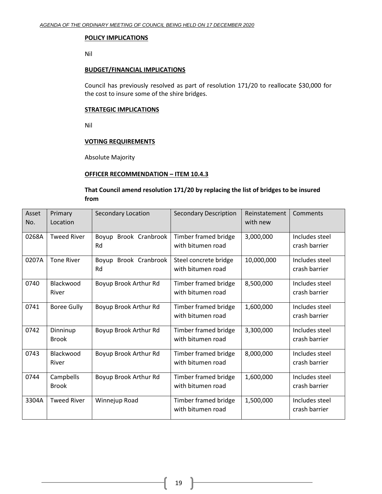#### **POLICY IMPLICATIONS**

Nil

# **BUDGET/FINANCIAL IMPLICATIONS**

Council has previously resolved as part of resolution 171/20 to reallocate \$30,000 for the cost to insure some of the shire bridges.

### **STRATEGIC IMPLICATIONS**

Nil

# **VOTING REQUIREMENTS**

Absolute Majority

### **OFFICER RECOMMENDATION – ITEM 10.4.3**

# **That Council amend resolution 171/20 by replacing the list of bridges to be insured from**

| Asset | Primary            | <b>Secondary Location</b> | <b>Secondary Description</b> | Reinstatement | Comments       |
|-------|--------------------|---------------------------|------------------------------|---------------|----------------|
| No.   | Location           |                           |                              | with new      |                |
| 0268A | <b>Tweed River</b> | Brook Cranbrook<br>Boyup  | Timber framed bridge         | 3,000,000     | Includes steel |
|       |                    | Rd                        | with bitumen road            |               | crash barrier  |
| 0207A | <b>Tone River</b>  | Brook Cranbrook<br>Boyup  | Steel concrete bridge        | 10,000,000    | Includes steel |
|       |                    | Rd                        | with bitumen road            |               | crash barrier  |
| 0740  | Blackwood          | Boyup Brook Arthur Rd     | Timber framed bridge         | 8,500,000     | Includes steel |
|       | River              |                           | with bitumen road            |               | crash barrier  |
| 0741  | <b>Boree Gully</b> | Boyup Brook Arthur Rd     | Timber framed bridge         | 1,600,000     | Includes steel |
|       |                    |                           | with bitumen road            |               | crash barrier  |
| 0742  | Dinninup           | Boyup Brook Arthur Rd     | Timber framed bridge         | 3,300,000     | Includes steel |
|       | <b>Brook</b>       |                           | with bitumen road            |               | crash barrier  |
| 0743  | Blackwood          | Boyup Brook Arthur Rd     | Timber framed bridge         | 8,000,000     | Includes steel |
|       | River              |                           | with bitumen road            |               | crash barrier  |
| 0744  | Campbells          | Boyup Brook Arthur Rd     | Timber framed bridge         | 1,600,000     | Includes steel |
|       | <b>Brook</b>       |                           | with bitumen road            |               | crash barrier  |
| 3304A | <b>Tweed River</b> | Winnejup Road             | Timber framed bridge         | 1,500,000     | Includes steel |
|       |                    |                           | with bitumen road            |               | crash barrier  |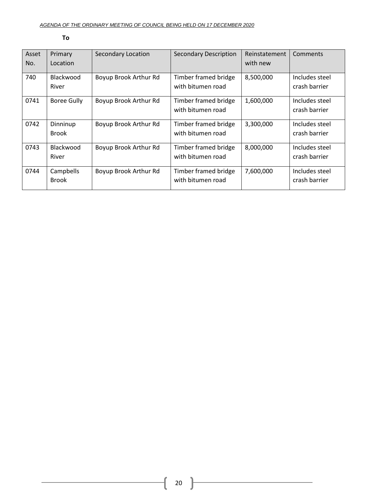| Asset | Primary            | <b>Secondary Location</b> | <b>Secondary Description</b> | Reinstatement | Comments       |
|-------|--------------------|---------------------------|------------------------------|---------------|----------------|
| No.   | Location           |                           |                              | with new      |                |
| 740   | Blackwood          | Boyup Brook Arthur Rd     | Timber framed bridge         | 8,500,000     | Includes steel |
|       | River              |                           | with bitumen road            |               | crash barrier  |
| 0741  | <b>Boree Gully</b> | Boyup Brook Arthur Rd     | Timber framed bridge         | 1,600,000     | Includes steel |
|       |                    |                           | with bitumen road            |               | crash barrier  |
| 0742  | Dinninup           | Boyup Brook Arthur Rd     | Timber framed bridge         | 3,300,000     | Includes steel |
|       | <b>Brook</b>       |                           | with bitumen road            |               | crash barrier  |
| 0743  | Blackwood          | Boyup Brook Arthur Rd     | Timber framed bridge         | 8,000,000     | Includes steel |
|       | River              |                           | with bitumen road            |               | crash barrier  |
| 0744  | Campbells          | Boyup Brook Arthur Rd     | Timber framed bridge         | 7,600,000     | Includes steel |
|       | <b>Brook</b>       |                           | with bitumen road            |               | crash barrier  |
|       |                    |                           |                              |               |                |

#### **To**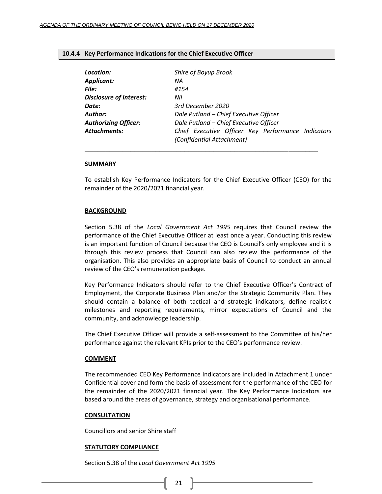#### <span id="page-20-0"></span>**10.4.4 Key Performance Indications for the Chief Executive Officer**

| Location:                      | Shire of Boyup Brook                                                            |
|--------------------------------|---------------------------------------------------------------------------------|
| Applicant:                     | ΝA                                                                              |
| File:                          | #154                                                                            |
| <b>Disclosure of Interest:</b> | Nil                                                                             |
| Date:                          | 3rd December 2020                                                               |
| Author:                        | Dale Putland - Chief Executive Officer                                          |
| <b>Authorizing Officer:</b>    | Dale Putland - Chief Executive Officer                                          |
| <b>Attachments:</b>            | Chief Executive Officer Key Performance Indicators<br>(Confidential Attachment) |
|                                |                                                                                 |

#### **SUMMARY**

To establish Key Performance Indicators for the Chief Executive Officer (CEO) for the remainder of the 2020/2021 financial year.

#### **BACKGROUND**

Section 5.38 of the *Local Government Act 1995* requires that Council review the performance of the Chief Executive Officer at least once a year. Conducting this review is an important function of Council because the CEO is Council's only employee and it is through this review process that Council can also review the performance of the organisation. This also provides an appropriate basis of Council to conduct an annual review of the CEO's remuneration package.

Key Performance Indicators should refer to the Chief Executive Officer's Contract of Employment, the Corporate Business Plan and/or the Strategic Community Plan. They should contain a balance of both tactical and strategic indicators, define realistic milestones and reporting requirements, mirror expectations of Council and the community, and acknowledge leadership.

The Chief Executive Officer will provide a self-assessment to the Committee of his/her performance against the relevant KPIs prior to the CEO's performance review.

#### **COMMENT**

The recommended CEO Key Performance Indicators are included in Attachment 1 under Confidential cover and form the basis of assessment for the performance of the CEO for the remainder of the 2020/2021 financial year. The Key Performance Indicators are based around the areas of governance, strategy and organisational performance.

#### **CONSULTATION**

Councillors and senior Shire staff

### **STATUTORY COMPLIANCE**

Section 5.38 of the *Local Government Act 1995*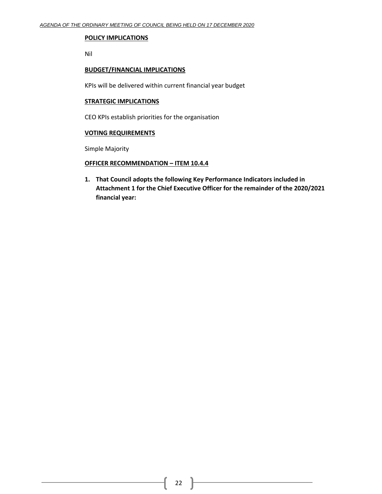#### **POLICY IMPLICATIONS**

Nil

# **BUDGET/FINANCIAL IMPLICATIONS**

KPIs will be delivered within current financial year budget

### **STRATEGIC IMPLICATIONS**

CEO KPIs establish priorities for the organisation

# **VOTING REQUIREMENTS**

Simple Majority

# **OFFICER RECOMMENDATION – ITEM 10.4.4**

**1. That Council adopts the following Key Performance Indicators included in Attachment 1 for the Chief Executive Officer for the remainder of the 2020/2021 financial year:**